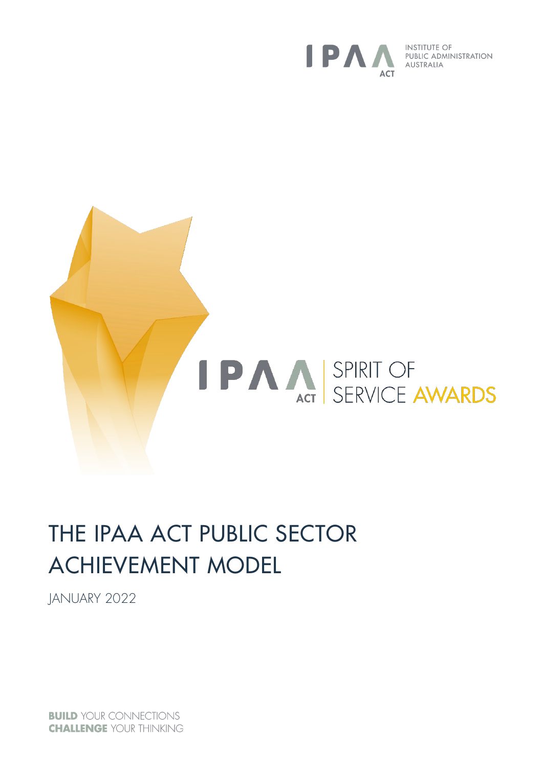

**INSTITUTE OF** PUBLIC ADMINISTRATION AUSTRALIA



# THE IPAA ACT PUBLIC SECTOR ACHIEVEMENT MODEL

JANUARY 2022

**BUILD YOUR CONNECTIONS CHALLENGE YOUR THINKING**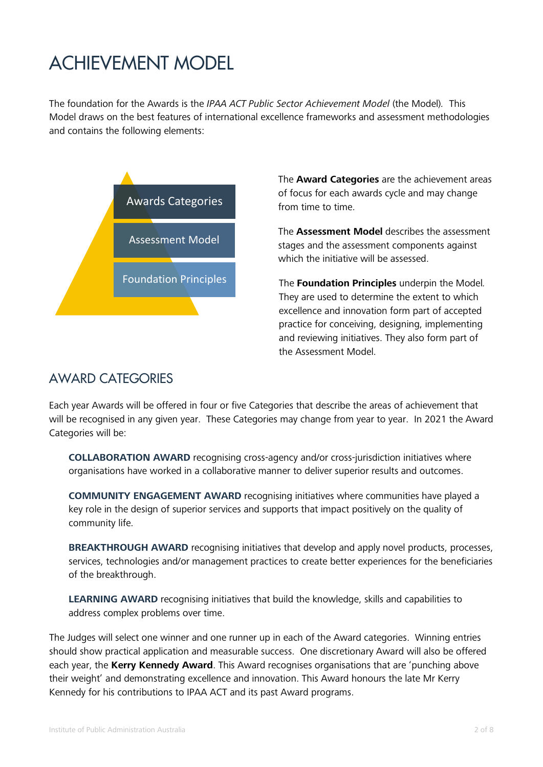## ACHIEVEMENT MODEL

The foundation for the Awards is the *IPAA ACT Public Sector Achievement Model* (the Model)*.* This Model draws on the best features of international excellence frameworks and assessment methodologies and contains the following elements:



The **Award Categories** are the achievement areas of focus for each awards cycle and may change from time to time.

The **Assessment Model** describes the assessment stages and the assessment components against which the initiative will be assessed.

The **Foundation Principles** underpin the Model*.*  They are used to determine the extent to which excellence and innovation form part of accepted practice for conceiving, designing, implementing and reviewing initiatives. They also form part of the Assessment Model.

### AWARD CATEGORIES

Each year Awards will be offered in four or five Categories that describe the areas of achievement that will be recognised in any given year. These Categories may change from year to year. In 2021 the Award Categories will be:

**COLLABORATION AWARD** recognising cross-agency and/or cross-jurisdiction initiatives where organisations have worked in a collaborative manner to deliver superior results and outcomes.

**COMMUNITY ENGAGEMENT AWARD** recognising initiatives where communities have played a key role in the design of superior services and supports that impact positively on the quality of community life.

**BREAKTHROUGH AWARD** recognising initiatives that develop and apply novel products, processes, services, technologies and/or management practices to create better experiences for the beneficiaries of the breakthrough.

**LEARNING AWARD** recognising initiatives that build the knowledge, skills and capabilities to address complex problems over time.

The Judges will select one winner and one runner up in each of the Award categories. Winning entries should show practical application and measurable success. One discretionary Award will also be offered each year, the **Kerry Kennedy Award**. This Award recognises organisations that are 'punching above their weight' and demonstrating excellence and innovation. This Award honours the late Mr Kerry Kennedy for his contributions to IPAA ACT and its past Award programs.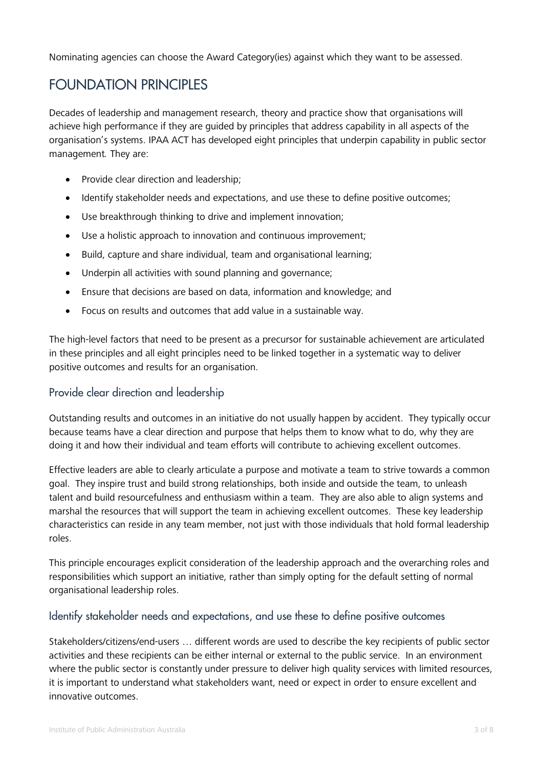Nominating agencies can choose the Award Category(ies) against which they want to be assessed.

## FOUNDATION PRINCIPLES

Decades of leadership and management research, theory and practice show that organisations will achieve high performance if they are guided by principles that address capability in all aspects of the organisation's systems. IPAA ACT has developed eight principles that underpin capability in public sector management*.* They are:

- Provide clear direction and leadership;
- Identify stakeholder needs and expectations, and use these to define positive outcomes;
- Use breakthrough thinking to drive and implement innovation;
- Use a holistic approach to innovation and continuous improvement;
- Build, capture and share individual, team and organisational learning;
- Underpin all activities with sound planning and governance;
- Ensure that decisions are based on data, information and knowledge; and
- Focus on results and outcomes that add value in a sustainable way.

The high-level factors that need to be present as a precursor for sustainable achievement are articulated in these principles and all eight principles need to be linked together in a systematic way to deliver positive outcomes and results for an organisation.

#### Provide clear direction and leadership

Outstanding results and outcomes in an initiative do not usually happen by accident. They typically occur because teams have a clear direction and purpose that helps them to know what to do, why they are doing it and how their individual and team efforts will contribute to achieving excellent outcomes.

Effective leaders are able to clearly articulate a purpose and motivate a team to strive towards a common goal. They inspire trust and build strong relationships, both inside and outside the team, to unleash talent and build resourcefulness and enthusiasm within a team. They are also able to align systems and marshal the resources that will support the team in achieving excellent outcomes. These key leadership characteristics can reside in any team member, not just with those individuals that hold formal leadership roles.

This principle encourages explicit consideration of the leadership approach and the overarching roles and responsibilities which support an initiative, rather than simply opting for the default setting of normal organisational leadership roles.

#### Identify stakeholder needs and expectations, and use these to define positive outcomes

Stakeholders/citizens/end-users … different words are used to describe the key recipients of public sector activities and these recipients can be either internal or external to the public service. In an environment where the public sector is constantly under pressure to deliver high quality services with limited resources, it is important to understand what stakeholders want, need or expect in order to ensure excellent and innovative outcomes.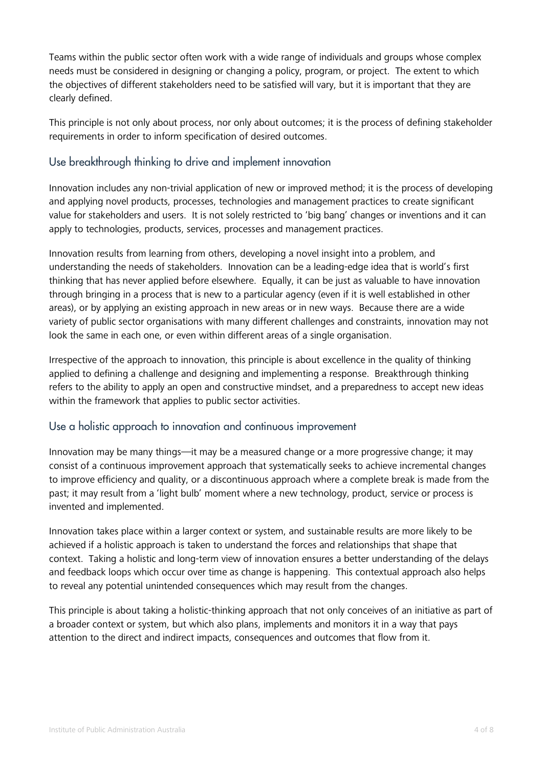Teams within the public sector often work with a wide range of individuals and groups whose complex needs must be considered in designing or changing a policy, program, or project. The extent to which the objectives of different stakeholders need to be satisfied will vary, but it is important that they are clearly defined.

This principle is not only about process, nor only about outcomes; it is the process of defining stakeholder requirements in order to inform specification of desired outcomes.

#### Use breakthrough thinking to drive and implement innovation

Innovation includes any non-trivial application of new or improved method; it is the process of developing and applying novel products, processes, technologies and management practices to create significant value for stakeholders and users. It is not solely restricted to 'big bang' changes or inventions and it can apply to technologies, products, services, processes and management practices.

Innovation results from learning from others, developing a novel insight into a problem, and understanding the needs of stakeholders. Innovation can be a leading-edge idea that is world's first thinking that has never applied before elsewhere. Equally, it can be just as valuable to have innovation through bringing in a process that is new to a particular agency (even if it is well established in other areas), or by applying an existing approach in new areas or in new ways. Because there are a wide variety of public sector organisations with many different challenges and constraints, innovation may not look the same in each one, or even within different areas of a single organisation.

Irrespective of the approach to innovation, this principle is about excellence in the quality of thinking applied to defining a challenge and designing and implementing a response. Breakthrough thinking refers to the ability to apply an open and constructive mindset, and a preparedness to accept new ideas within the framework that applies to public sector activities.

#### Use a holistic approach to innovation and continuous improvement

Innovation may be many things—it may be a measured change or a more progressive change; it may consist of a continuous improvement approach that systematically seeks to achieve incremental changes to improve efficiency and quality, or a discontinuous approach where a complete break is made from the past; it may result from a 'light bulb' moment where a new technology, product, service or process is invented and implemented.

Innovation takes place within a larger context or system, and sustainable results are more likely to be achieved if a holistic approach is taken to understand the forces and relationships that shape that context. Taking a holistic and long-term view of innovation ensures a better understanding of the delays and feedback loops which occur over time as change is happening. This contextual approach also helps to reveal any potential unintended consequences which may result from the changes.

This principle is about taking a holistic-thinking approach that not only conceives of an initiative as part of a broader context or system, but which also plans, implements and monitors it in a way that pays attention to the direct and indirect impacts, consequences and outcomes that flow from it.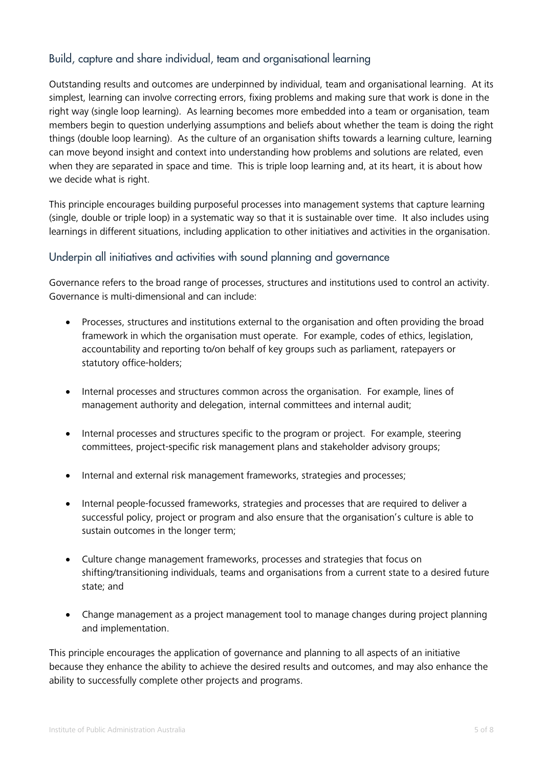#### Build, capture and share individual, team and organisational learning

Outstanding results and outcomes are underpinned by individual, team and organisational learning. At its simplest, learning can involve correcting errors, fixing problems and making sure that work is done in the right way (single loop learning). As learning becomes more embedded into a team or organisation, team members begin to question underlying assumptions and beliefs about whether the team is doing the right things (double loop learning). As the culture of an organisation shifts towards a learning culture, learning can move beyond insight and context into understanding how problems and solutions are related, even when they are separated in space and time. This is triple loop learning and, at its heart, it is about how we decide what is right.

This principle encourages building purposeful processes into management systems that capture learning (single, double or triple loop) in a systematic way so that it is sustainable over time. It also includes using learnings in different situations, including application to other initiatives and activities in the organisation.

#### Underpin all initiatives and activities with sound planning and governance

Governance refers to the broad range of processes, structures and institutions used to control an activity. Governance is multi-dimensional and can include:

- Processes, structures and institutions external to the organisation and often providing the broad framework in which the organisation must operate. For example, codes of ethics, legislation, accountability and reporting to/on behalf of key groups such as parliament, ratepayers or statutory office-holders;
- Internal processes and structures common across the organisation. For example, lines of management authority and delegation, internal committees and internal audit;
- Internal processes and structures specific to the program or project. For example, steering committees, project-specific risk management plans and stakeholder advisory groups;
- Internal and external risk management frameworks, strategies and processes;
- Internal people-focussed frameworks, strategies and processes that are required to deliver a successful policy, project or program and also ensure that the organisation's culture is able to sustain outcomes in the longer term;
- Culture change management frameworks, processes and strategies that focus on shifting/transitioning individuals, teams and organisations from a current state to a desired future state; and
- Change management as a project management tool to manage changes during project planning and implementation.

This principle encourages the application of governance and planning to all aspects of an initiative because they enhance the ability to achieve the desired results and outcomes, and may also enhance the ability to successfully complete other projects and programs.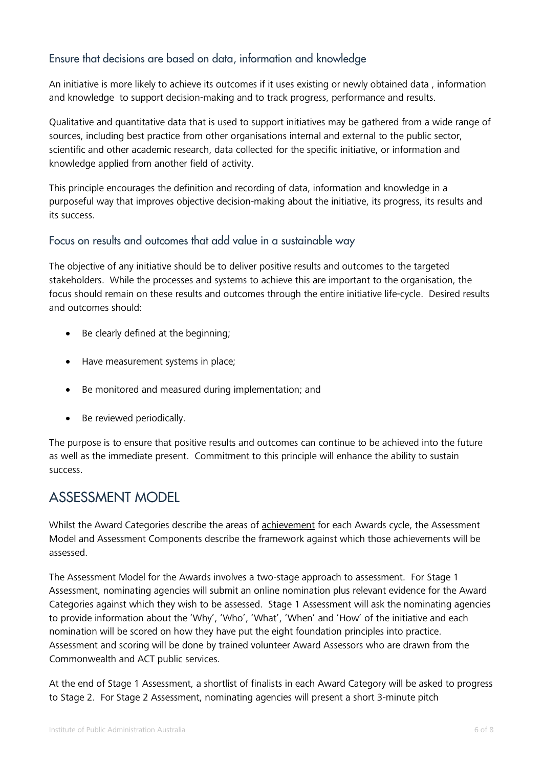#### Ensure that decisions are based on data, information and knowledge

An initiative is more likely to achieve its outcomes if it uses existing or newly obtained data , information and knowledge to support decision-making and to track progress, performance and results.

Qualitative and quantitative data that is used to support initiatives may be gathered from a wide range of sources, including best practice from other organisations internal and external to the public sector, scientific and other academic research, data collected for the specific initiative, or information and knowledge applied from another field of activity.

This principle encourages the definition and recording of data, information and knowledge in a purposeful way that improves objective decision-making about the initiative, its progress, its results and its success.

#### Focus on results and outcomes that add value in a sustainable way

The objective of any initiative should be to deliver positive results and outcomes to the targeted stakeholders. While the processes and systems to achieve this are important to the organisation, the focus should remain on these results and outcomes through the entire initiative life-cycle. Desired results and outcomes should:

- Be clearly defined at the beginning;
- Have measurement systems in place;
- Be monitored and measured during implementation; and
- Be reviewed periodically.

The purpose is to ensure that positive results and outcomes can continue to be achieved into the future as well as the immediate present. Commitment to this principle will enhance the ability to sustain success.

## ASSESSMENT MODEL

Whilst the Award Categories describe the areas of achievement for each Awards cycle, the Assessment Model and Assessment Components describe the framework against which those achievements will be assessed.

The Assessment Model for the Awards involves a two-stage approach to assessment. For Stage 1 Assessment, nominating agencies will submit an online nomination plus relevant evidence for the Award Categories against which they wish to be assessed. Stage 1 Assessment will ask the nominating agencies to provide information about the 'Why', 'Who', 'What', 'When' and 'How' of the initiative and each nomination will be scored on how they have put the eight foundation principles into practice. Assessment and scoring will be done by trained volunteer Award Assessors who are drawn from the Commonwealth and ACT public services.

At the end of Stage 1 Assessment, a shortlist of finalists in each Award Category will be asked to progress to Stage 2. For Stage 2 Assessment, nominating agencies will present a short 3-minute pitch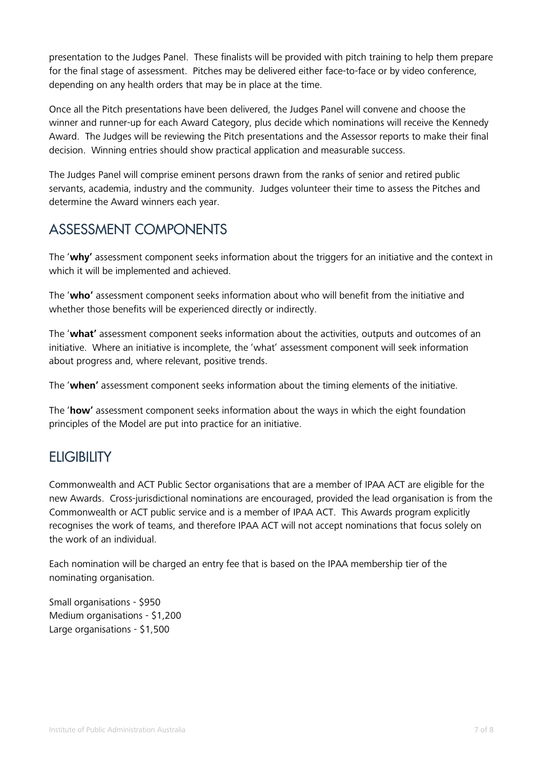presentation to the Judges Panel. These finalists will be provided with pitch training to help them prepare for the final stage of assessment. Pitches may be delivered either face-to-face or by video conference, depending on any health orders that may be in place at the time.

Once all the Pitch presentations have been delivered, the Judges Panel will convene and choose the winner and runner-up for each Award Category, plus decide which nominations will receive the Kennedy Award. The Judges will be reviewing the Pitch presentations and the Assessor reports to make their final decision. Winning entries should show practical application and measurable success.

The Judges Panel will comprise eminent persons drawn from the ranks of senior and retired public servants, academia, industry and the community. Judges volunteer their time to assess the Pitches and determine the Award winners each year.

## ASSESSMENT COMPONENTS

The '**why'** assessment component seeks information about the triggers for an initiative and the context in which it will be implemented and achieved.

The '**who'** assessment component seeks information about who will benefit from the initiative and whether those benefits will be experienced directly or indirectly.

The '**what'** assessment component seeks information about the activities, outputs and outcomes of an initiative. Where an initiative is incomplete, the 'what' assessment component will seek information about progress and, where relevant, positive trends.

The '**when'** assessment component seeks information about the timing elements of the initiative.

The '**how'** assessment component seeks information about the ways in which the eight foundation principles of the Model are put into practice for an initiative.

## **ELIGIBILITY**

Commonwealth and ACT Public Sector organisations that are a member of IPAA ACT are eligible for the new Awards. Cross-jurisdictional nominations are encouraged, provided the lead organisation is from the Commonwealth or ACT public service and is a member of IPAA ACT. This Awards program explicitly recognises the work of teams, and therefore IPAA ACT will not accept nominations that focus solely on the work of an individual.

Each nomination will be charged an entry fee that is based on the IPAA membership tier of the nominating organisation.

Small organisations - \$950 Medium organisations - \$1,200 Large organisations - \$1,500